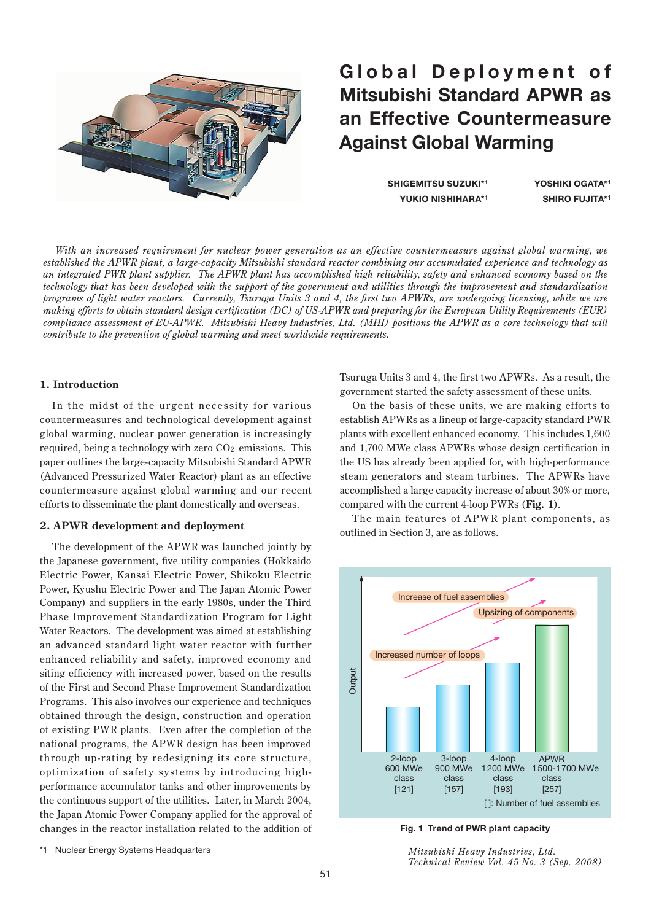

# Global Deployment of **Mitsubishi Standard APWR as an Effective Countermeasure Against Global Warming**

**SHIGEMITSU SUZUKI\*1 YOSHIKI OGATA\*1 YUKIO NISHIHARA\*1 SHIRO FUJITA\*1**

*With an increased requirement for nuclear power generation as an effective countermeasure against global warming, we established the APWR plant, a large-capacity Mitsubishi standard reactor combining our accumulated experience and technology as an integrated PWR plant supplier. The APWR plant has accomplished high reliability, safety and enhanced economy based on the technology that has been developed with the support of the government and utilities through the improvement and standardization programs of light water reactors. Currently, Tsuruga Units 3 and 4, the first two APWRs, are undergoing licensing, while we are making efforts to obtain standard design certification (DC) of US-APWR and preparing for the European Utility Requirements (EUR) compliance assessment of EU-APWR. Mitsubishi Heavy Industries, Ltd. (MHI) positions the APWR as a core technology that will contribute to the prevention of global warming and meet worldwide requirements.*

# **1. Introduction**

In the midst of the urgent necessity for various countermeasures and technological development against global warming, nuclear power generation is increasingly required, being a technology with zero  $CO<sub>2</sub>$  emissions. This paper outlines the large-capacity Mitsubishi Standard APWR (Advanced Pressurized Water Reactor) plant as an effective countermeasure against global warming and our recent efforts to disseminate the plant domestically and overseas.

# **2. APWR development and deployment**

The development of the APWR was launched jointly by the Japanese government, five utility companies (Hokkaido Electric Power, Kansai Electric Power, Shikoku Electric Power, Kyushu Electric Power and The Japan Atomic Power Company) and suppliers in the early 1980s, under the Third Phase Improvement Standardization Program for Light Water Reactors. The development was aimed at establishing an advanced standard light water reactor with further enhanced reliability and safety, improved economy and siting efficiency with increased power, based on the results of the First and Second Phase Improvement Standardization Programs. This also involves our experience and techniques obtained through the design, construction and operation of existing PWR plants. Even after the completion of the national programs, the APWR design has been improved through up -rating by redesigning its core structure, optimization of safety systems by introducing highperformance accumulator tanks and other improvements by the continuous support of the utilities. Later, in March 2004, the Japan Atomic Power Company applied for the approval of changes in the reactor installation related to the addition of Tsuruga Units 3 and 4, the first two APWRs. As a result, the government started the safety assessment of these units.

On the basis of these units, we are making efforts to establish APWRs as a lineup of large-capacity standard PWR plants with excellent enhanced economy. This includes 1,600 and 1,700 MWe class APWRs whose design certification in the US has already been applied for, with high-performance steam generators and steam turbines. The APWRs have accomplished a large capacity increase of about 30% or more, compared with the current 4-loop PWRs (**Fig. 1**).

The main features of APWR plant components, as outlined in Section 3, are as follows.



**Fig. 1 Trend of PWR plant capacity**

*Mitsubishi Heavy Industries, Ltd. Technical Review Vol. 45 No. 3 (Sep. 2008)*

<sup>\*1</sup> Nuclear Energy Systems Headquarters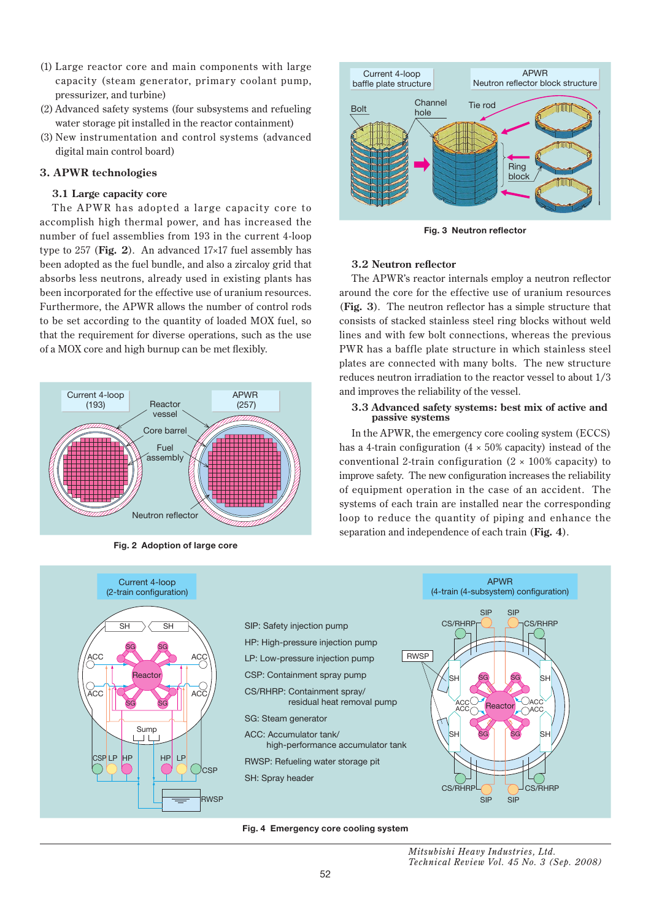- (1) Large reactor core and main components with large capacity (steam generator, primary coolant pump, pressurizer, and turbine)
- (2) Advanced safety systems (four subsystems and refueling water storage pit installed in the reactor containment)
- (3) New instrumentation and control systems (advanced digital main control board)

# **3. APWR technologies**

# **3.1 Large capacity core**

The APWR has adopted a large capacity core to accomplish high thermal power, and has increased the number of fuel assemblies from 193 in the current 4-loop type to 257 (**Fig. 2**). An advanced 17×17 fuel assembly has been adopted as the fuel bundle, and also a zircaloy grid that absorbs less neutrons, already used in existing plants has been incorporated for the effective use of uranium resources. Furthermore, the APWR allows the number of control rods to be set according to the quantity of loaded MOX fuel, so that the requirement for diverse operations, such as the use of a MOX core and high burnup can be met flexibly.



**Fig. 2 Adoption of large core**



**Fig. 3 Neutron reflector**

# **3.2 Neutron reflector**

The APWR's reactor internals employ a neutron reflector around the core for the effective use of uranium resources (**Fig. 3**). The neutron reflector has a simple structure that consists of stacked stainless steel ring blocks without weld lines and with few bolt connections, whereas the previous PWR has a baffle plate structure in which stainless steel plates are connected with many bolts. The new structure reduces neutron irradiation to the reactor vessel to about 1/3 and improves the reliability of the vessel.

## **3.3 Advanced safety systems: best mix of active and passive systems**

In the APWR, the emergency core cooling system (ECCS) has a 4-train configuration  $(4 \times 50\%$  capacity) instead of the conventional 2-train configuration  $(2 \times 100\%$  capacity) to improve safety. The new configuration increases the reliability of equipment operation in the case of an accident. The systems of each train are installed near the corresponding loop to reduce the quantity of piping and enhance the separation and independence of each train (**Fig. 4**).





*Mitsubishi Heavy Industries, Ltd. Technical Review Vol. 45 No. 3 (Sep. 2008)*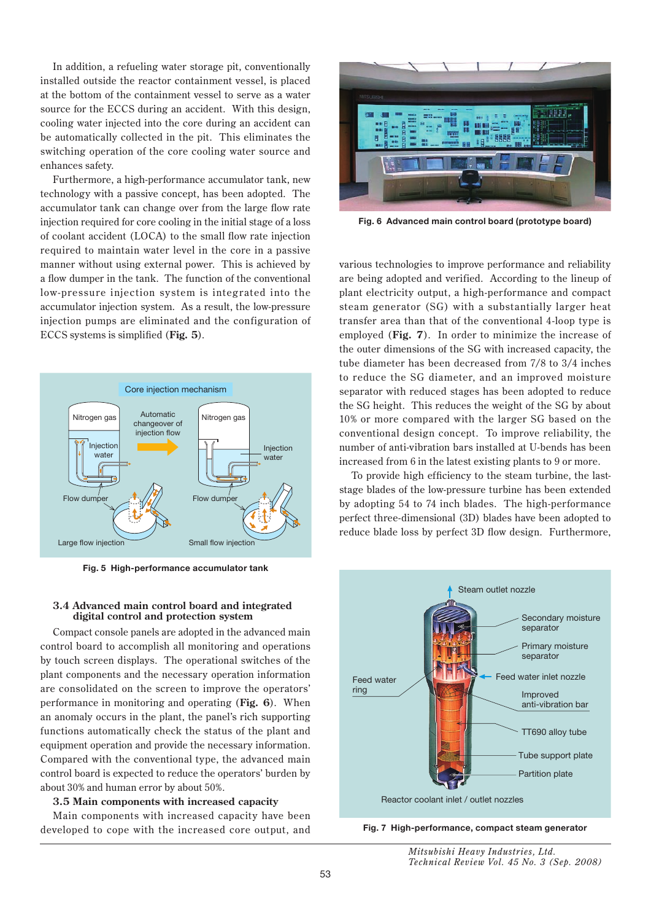In addition, a refueling water storage pit, conventionally installed outside the reactor containment vessel, is placed at the bottom of the containment vessel to serve as a water source for the ECCS during an accident. With this design, cooling water injected into the core during an accident can be automatically collected in the pit. This eliminates the switching operation of the core cooling water source and enhances safety.

Furthermore, a high-performance accumulator tank, new technology with a passive concept, has been adopted. The accumulator tank can change over from the large flow rate injection required for core cooling in the initial stage of a loss of coolant accident (LOCA) to the small flow rate injection required to maintain water level in the core in a passive manner without using external power. This is achieved by a flow dumper in the tank. The function of the conventional low-pressure injection system is integrated into the accumulator injection system. As a result, the low-pressure injection pumps are eliminated and the configuration of ECCS systems is simplified (**Fig. 5**).



**Fig. 5 High-performance accumulator tank**

#### **3.4 Advanced main control board and integrated digital control and protection system**

Compact console panels are adopted in the advanced main control board to accomplish all monitoring and operations by touch screen displays. The operational switches of the plant components and the necessary operation information are consolidated on the screen to improve the operators' performance in monitoring and operating (**Fig. 6**). When an anomaly occurs in the plant, the panel's rich supporting functions automatically check the status of the plant and equipment operation and provide the necessary information. Compared with the conventional type, the advanced main control board is expected to reduce the operators' burden by about 30% and human error by about 50%.

#### **3.5 Main components with increased capacity**

Main components with increased capacity have been developed to cope with the increased core output, and



**Fig. 6 Advanced main control board (prototype board)**

various technologies to improve performance and reliability are being adopted and verified. According to the lineup of plant electricity output, a high-performance and compact steam generator (SG) with a substantially larger heat transfer area than that of the conventional 4-loop type is employed (**Fig. 7**). In order to minimize the increase of the outer dimensions of the SG with increased capacity, the tube diameter has been decreased from 7/8 to 3/4 inches to reduce the SG diameter, and an improved moisture separator with reduced stages has been adopted to reduce the SG height. This reduces the weight of the SG by about 10% or more compared with the larger SG based on the conventional design concept. To improve reliability, the number of anti-vibration bars installed at U-bends has been increased from 6 in the latest existing plants to 9 or more.

To provide high efficiency to the steam turbine, the laststage blades of the low-pressure turbine has been extended by adopting 54 to 74 inch blades. The high-performance perfect three-dimensional (3D) blades have been adopted to reduce blade loss by perfect 3D flow design. Furthermore,



**Fig. 7 High-performance, compact steam generator**